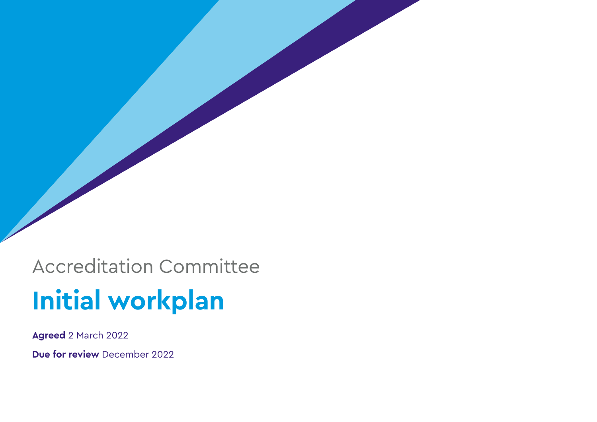Accreditation Committee **Initial workplan** 

**Agreed** 2 March 2022

**Due for review** December 2022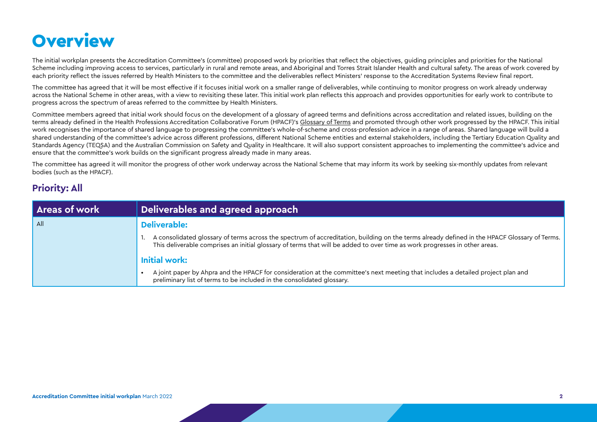# **Overview**

The initial workplan presents the Accreditation Committee's (committee) proposed work by priorities that reflect the objectives, guiding principles and priorities for the National Scheme including improving access to services, particularly in rural and remote areas, and Aboriginal and Torres Strait Islander Health and cultural safety. The areas of work covered by each priority reflect the issues referred by Health Ministers to the committee and the deliverables reflect Ministers' response to the Accreditation Systems Review final report.

The committee has agreed that it will be most effective if it focuses initial work on a smaller range of deliverables, while continuing to monitor progress on work already underway across the National Scheme in other areas, with a view to revisiting these later. This initial work plan reflects this approach and provides opportunities for early work to contribute to progress across the spectrum of areas referred to the committee by Health Ministers.

Committee members agreed that initial work should focus on the development of a glossary of agreed terms and definitions across accreditation and related issues, building on the terms already defined in the Health Professions Accreditation Collaborative Forum (HPACF)'s [Glossary of Terms](http://hpacf.org.au/wp-content/uploads/2019/10/2019-08-Terms-of-Reporting.pdf) and promoted through other work progressed by the HPACF. This initial work recognises the importance of shared language to progressing the committee's whole-of-scheme and cross-profession advice in a range of areas. Shared language will build a shared understanding of the committee's advice across different professions, different National Scheme entities and external stakeholders, including the Tertiary Education Quality and Standards Agency (TEQSA) and the Australian Commission on Safety and Quality in Healthcare. It will also support consistent approaches to implementing the committee's advice and ensure that the committee's work builds on the significant progress already made in many areas.

The committee has agreed it will monitor the progress of other work underway across the National Scheme that may inform its work by seeking six-monthly updates from relevant bodies (such as the HPACF).

# **Priority: All**

| <b>Areas of work</b> | Deliverables and agreed approach                                                                                                                                                                                                                                           |
|----------------------|----------------------------------------------------------------------------------------------------------------------------------------------------------------------------------------------------------------------------------------------------------------------------|
| All                  | Deliverable:                                                                                                                                                                                                                                                               |
|                      | A consolidated glossary of terms across the spectrum of accreditation, building on the terms already defined in the HPACF Glossary of Terms.<br>This deliverable comprises an initial glossary of terms that will be added to over time as work progresses in other areas. |
|                      | <b>Initial work:</b>                                                                                                                                                                                                                                                       |
|                      | A joint paper by Ahpra and the HPACF for consideration at the committee's next meeting that includes a detailed project plan and<br>preliminary list of terms to be included in the consolidated glossary.                                                                 |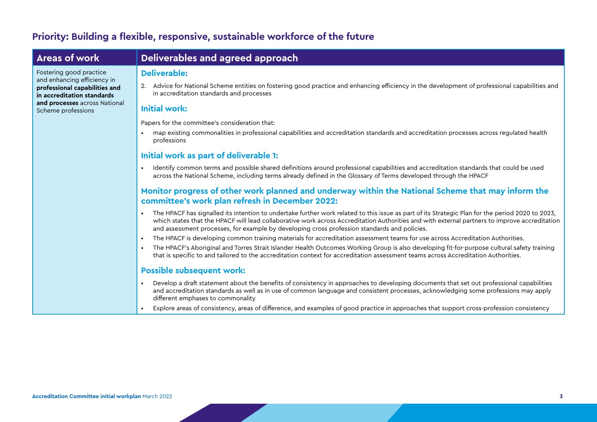# **Priority: Building a flexible, responsive, sustainable workforce of the future**

Scheme professions

Fostering good practice and enhancing efficiency in **professional capabilities and in accreditation standards and processes** across National

# **Areas of work Deliverables and agreed approach**

#### **Deliverable:**

2. Advice for National Scheme entities on fostering good practice and enhancing efficiency in the development of professional capabilities and in accreditation standards and processes

#### **Initial work:**

Papers for the committee's consideration that:

• map existing commonalities in professional capabilities and accreditation standards and accreditation processes across regulated health professions

#### **Initial work as part of deliverable 1:**

• Identify common terms and possible shared definitions around professional capabilities and accreditation standards that could be used across the National Scheme, including terms already defined in the Glossary of Terms developed through the HPACF

#### **Monitor progress of other work planned and underway within the National Scheme that may inform the committee's work plan refresh in December 2022:**

- The HPACF has signalled its intention to undertake further work related to this issue as part of its Strategic Plan for the period 2020 to 2023. which states that the HPACF will lead collaborative work across Accreditation Authorities and with external partners to improve accreditation and assessment processes, for example by developing cross profession standards and policies.
- The HPACF is developing common training materials for accreditation assessment teams for use across Accreditation Authorities.
- The HPACF's Aboriginal and Torres Strait Islander Health Outcomes Working Group is also developing fit-for-purpose cultural safety training that is specific to and tailored to the accreditation context for accreditation assessment teams across Accreditation Authorities.

#### **Possible subsequent work:**

- Develop a draft statement about the benefits of consistency in approaches to developing documents that set out professional capabilities and accreditation standards as well as in use of common language and consistent processes, acknowledging some professions may apply different emphases to commonality
- Explore areas of consistency, areas of difference, and examples of good practice in approaches that support cross-profession consistency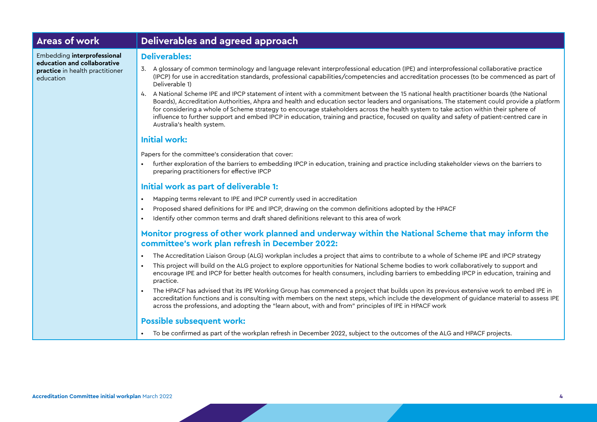# **Areas of work Deliverables and agreed approach**

Embedding **interprofessional education and collaborative practice** in health practitioner education

#### **Deliverables:**

- 3. A glossary of common terminology and language relevant interprofessional education (IPE) and interprofessional collaborative practice (IPCP) for use in accreditation standards, professional capabilities/competencies and accreditation processes (to be commenced as part of Deliverable 1)
- 4. A National Scheme IPE and IPCP statement of intent with a commitment between the 15 national health practitioner boards (the National Boards), Accreditation Authorities, Ahpra and health and education sector leaders and organisations. The statement could provide a platform for considering a whole of Scheme strategy to encourage stakeholders across the health system to take action within their sphere of influence to further support and embed IPCP in education, training and practice, focused on quality and safety of patient-centred care in Australia's health system.

#### **Initial work:**

Papers for the committee's consideration that cover:

• further exploration of the barriers to embedding IPCP in education, training and practice including stakeholder views on the barriers to preparing practitioners for effective IPCP

#### **Initial work as part of deliverable 1:**

- Mapping terms relevant to IPE and IPCP currently used in accreditation
- Proposed shared definitions for IPE and IPCP, drawing on the common definitions adopted by the HPACF
- Identify other common terms and draft shared definitions relevant to this area of work

### **Monitor progress of other work planned and underway within the National Scheme that may inform the committee's work plan refresh in December 2022:**

- The Accreditation Liaison Group (ALG) workplan includes a project that aims to contribute to a whole of Scheme IPE and IPCP strategy
- This project will build on the ALG project to explore opportunities for National Scheme bodies to work collaboratively to support and encourage IPE and IPCP for better health outcomes for health consumers, including barriers to embedding IPCP in education, training and practice.
- The HPACF has advised that its IPE Working Group has commenced a project that builds upon its previous extensive work to embed IPE in accreditation functions and is consulting with members on the next steps, which include the development of guidance material to assess IPE across the professions, and adopting the "learn about, with and from" principles of IPE in HPACF work

#### **Possible subsequent work:**

• To be confirmed as part of the workplan refresh in December 2022, subject to the outcomes of the ALG and HPACF projects.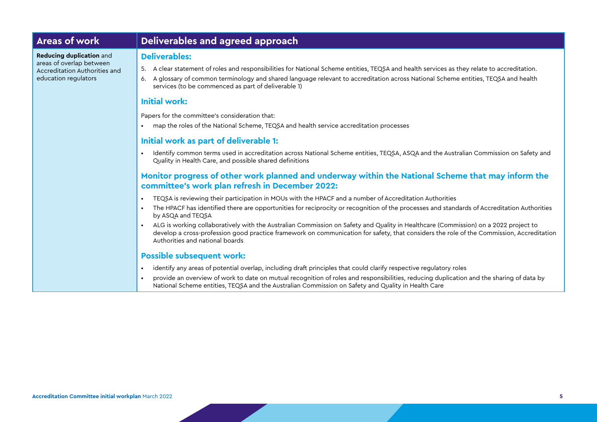# **Areas of work Deliverables and agreed approach**

**Reducing duplication** and areas of overlap between Accreditation Authorities and education regulators

#### **Deliverables:**

- 5. A clear statement of roles and responsibilities for National Scheme entities, TEQSA and health services as they relate to accreditation.
- 6. A glossary of common terminology and shared language relevant to accreditation across National Scheme entities, TEQSA and health services (to be commenced as part of deliverable 1)

#### **Initial work:**

Papers for the committee's consideration that:

• map the roles of the National Scheme, TEQSA and health service accreditation processes

#### **Initial work as part of deliverable 1:**

• Identify common terms used in accreditation across National Scheme entities, TEQSA, ASQA and the Australian Commission on Safety and Quality in Health Care, and possible shared definitions

#### **Monitor progress of other work planned and underway within the National Scheme that may inform the committee's work plan refresh in December 2022:**

- TEQSA is reviewing their participation in MOUs with the HPACF and a number of Accreditation Authorities
- The HPACF has identified there are opportunities for reciprocity or recognition of the processes and standards of Accreditation Authorities by ASQA and TEQSA
- ALG is working collaboratively with the Australian Commission on Safety and Quality in Healthcare (Commission) on a 2022 project to develop a cross-profession good practice framework on communication for safety, that considers the role of the Commission, Accreditation Authorities and national boards

#### **Possible subsequent work:**

- identify any areas of potential overlap, including draft principles that could clarify respective regulatory roles
- provide an overview of work to date on mutual recognition of roles and responsibilities, reducing duplication and the sharing of data by National Scheme entities, TEQSA and the Australian Commission on Safety and Quality in Health Care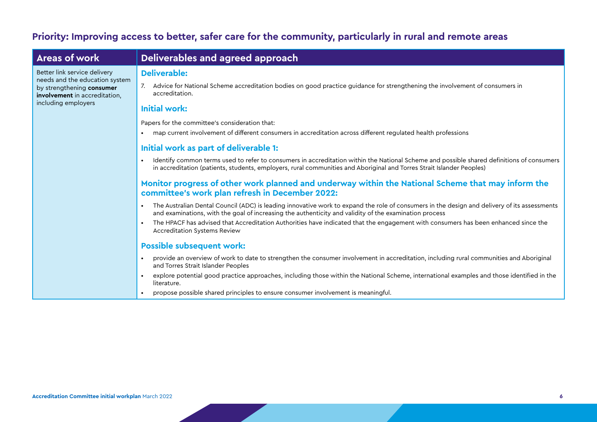# **Priority: Improving access to better, safer care for the community, particularly in rural and remote areas**

| <b>Areas of work</b>                                                                                                                                | Deliverables and agreed approach                                                                                                                                                                                                                                    |
|-----------------------------------------------------------------------------------------------------------------------------------------------------|---------------------------------------------------------------------------------------------------------------------------------------------------------------------------------------------------------------------------------------------------------------------|
| Better link service delivery<br>needs and the education system<br>by strengthening consumer<br>involvement in accreditation,<br>including employers | <b>Deliverable:</b><br>Advice for National Scheme accreditation bodies on good practice guidance for strengthening the involvement of consumers in<br>accreditation.                                                                                                |
|                                                                                                                                                     | <b>Initial work:</b>                                                                                                                                                                                                                                                |
|                                                                                                                                                     | Papers for the committee's consideration that:<br>map current involvement of different consumers in accreditation across different regulated health professions                                                                                                     |
|                                                                                                                                                     | Initial work as part of deliverable 1:                                                                                                                                                                                                                              |
|                                                                                                                                                     | Identify common terms used to refer to consumers in accreditation within the National Scheme and possible shared definitions of consumers<br>in accreditation (patients, students, employers, rural communities and Aboriginal and Torres Strait Islander Peoples)  |
|                                                                                                                                                     | Monitor progress of other work planned and underway within the National Scheme that may inform the<br>committee's work plan refresh in December 2022:                                                                                                               |
|                                                                                                                                                     | The Australian Dental Council (ADC) is leading innovative work to expand the role of consumers in the design and delivery of its assessments<br>$\bullet$<br>and examinations, with the goal of increasing the authenticity and validity of the examination process |
|                                                                                                                                                     | The HPACF has advised that Accreditation Authorities have indicated that the engagement with consumers has been enhanced since the<br><b>Accreditation Systems Review</b>                                                                                           |
|                                                                                                                                                     | <b>Possible subsequent work:</b>                                                                                                                                                                                                                                    |
|                                                                                                                                                     | provide an overview of work to date to strengthen the consumer involvement in accreditation, including rural communities and Aboriginal<br>$\bullet$<br>and Torres Strait Islander Peoples                                                                          |
|                                                                                                                                                     | explore potential good practice approaches, including those within the National Scheme, international examples and those identified in the<br>literature.                                                                                                           |
|                                                                                                                                                     | propose possible shared principles to ensure consumer involvement is meaningful.                                                                                                                                                                                    |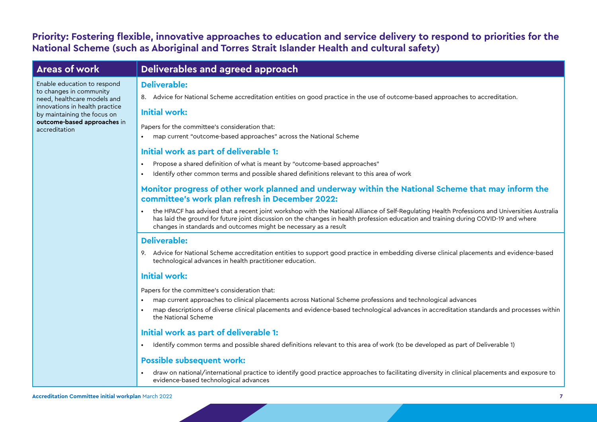# **Priority: Fostering flexible, innovative approaches to education and service delivery to respond to priorities for the National Scheme (such as Aboriginal and Torres Strait Islander Health and cultural safety)**

accreditation

Enable education to respond to changes in community need, healthcare models and innovations in health practice by maintaining the focus on **outcome-based approaches** in

# **Areas of work Deliverables and agreed approach**

#### **Deliverable:**

8. Advice for National Scheme accreditation entities on good practice in the use of outcome-based approaches to accreditation.

#### **Initial work:**

Papers for the committee's consideration that:

• map current "outcome-based approaches" across the National Scheme

### **Initial work as part of deliverable 1:**

- Propose a shared definition of what is meant by "outcome-based approaches"
- Identify other common terms and possible shared definitions relevant to this area of work

### **Monitor progress of other work planned and underway within the National Scheme that may inform the committee's work plan refresh in December 2022:**

• the HPACF has advised that a recent joint workshop with the National Alliance of Self-Regulating Health Professions and Universities Australia has laid the ground for future joint discussion on the changes in health profession education and training during COVID-19 and where changes in standards and outcomes might be necessary as a result

### **Deliverable:**

9. Advice for National Scheme accreditation entities to support good practice in embedding diverse clinical placements and evidence-based technological advances in health practitioner education.

### **Initial work:**

Papers for the committee's consideration that:

- map current approaches to clinical placements across National Scheme professions and technological advances
- map descriptions of diverse clinical placements and evidence-based technological advances in accreditation standards and processes within the National Scheme

### **Initial work as part of deliverable 1:**

• Identify common terms and possible shared definitions relevant to this area of work (to be developed as part of Deliverable 1)

### **Possible subsequent work:**

• draw on national/international practice to identify good practice approaches to facilitating diversity in clinical placements and exposure to evidence-based technological advances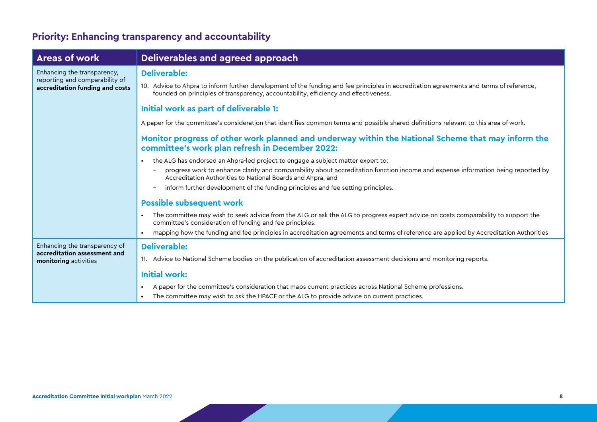# **Priority: Enhancing transparency and accountability**

| <b>Areas of work</b>                                                                             | Deliverables and agreed approach                                                                                                                                                                                                                                                                                                                                                    |
|--------------------------------------------------------------------------------------------------|-------------------------------------------------------------------------------------------------------------------------------------------------------------------------------------------------------------------------------------------------------------------------------------------------------------------------------------------------------------------------------------|
| Enhancing the transparency,<br>reporting and comparability of<br>accreditation funding and costs | <b>Deliverable:</b>                                                                                                                                                                                                                                                                                                                                                                 |
|                                                                                                  | 10. Advice to Ahpra to inform further development of the funding and fee principles in accreditation agreements and terms of reference,<br>founded on principles of transparency, accountability, efficiency and effectiveness.                                                                                                                                                     |
|                                                                                                  | Initial work as part of deliverable 1:                                                                                                                                                                                                                                                                                                                                              |
|                                                                                                  | A paper for the committee's consideration that identifies common terms and possible shared definitions relevant to this area of work.                                                                                                                                                                                                                                               |
|                                                                                                  | Monitor progress of other work planned and underway within the National Scheme that may inform the<br>committee's work plan refresh in December 2022:                                                                                                                                                                                                                               |
|                                                                                                  | the ALG has endorsed an Ahpra-led project to engage a subject matter expert to:<br>$\bullet$<br>progress work to enhance clarity and comparability about accreditation function income and expense information being reported by<br>Accreditation Authorities to National Boards and Ahpra, and<br>inform further development of the funding principles and fee setting principles. |
|                                                                                                  | <b>Possible subsequent work</b>                                                                                                                                                                                                                                                                                                                                                     |
|                                                                                                  | The committee may wish to seek advice from the ALG or ask the ALG to progress expert advice on costs comparability to support the<br>$\bullet$<br>committee's consideration of funding and fee principles.                                                                                                                                                                          |
|                                                                                                  | mapping how the funding and fee principles in accreditation agreements and terms of reference are applied by Accreditation Authorities                                                                                                                                                                                                                                              |
| Enhancing the transparency of<br>accreditation assessment and<br>monitoring activities           | <b>Deliverable:</b>                                                                                                                                                                                                                                                                                                                                                                 |
|                                                                                                  | 11. Advice to National Scheme bodies on the publication of accreditation assessment decisions and monitoring reports.                                                                                                                                                                                                                                                               |
|                                                                                                  | <b>Initial work:</b>                                                                                                                                                                                                                                                                                                                                                                |
|                                                                                                  | A paper for the committee's consideration that maps current practices across National Scheme professions.<br>$\bullet$                                                                                                                                                                                                                                                              |
|                                                                                                  | The committee may wish to ask the HPACF or the ALG to provide advice on current practices.                                                                                                                                                                                                                                                                                          |